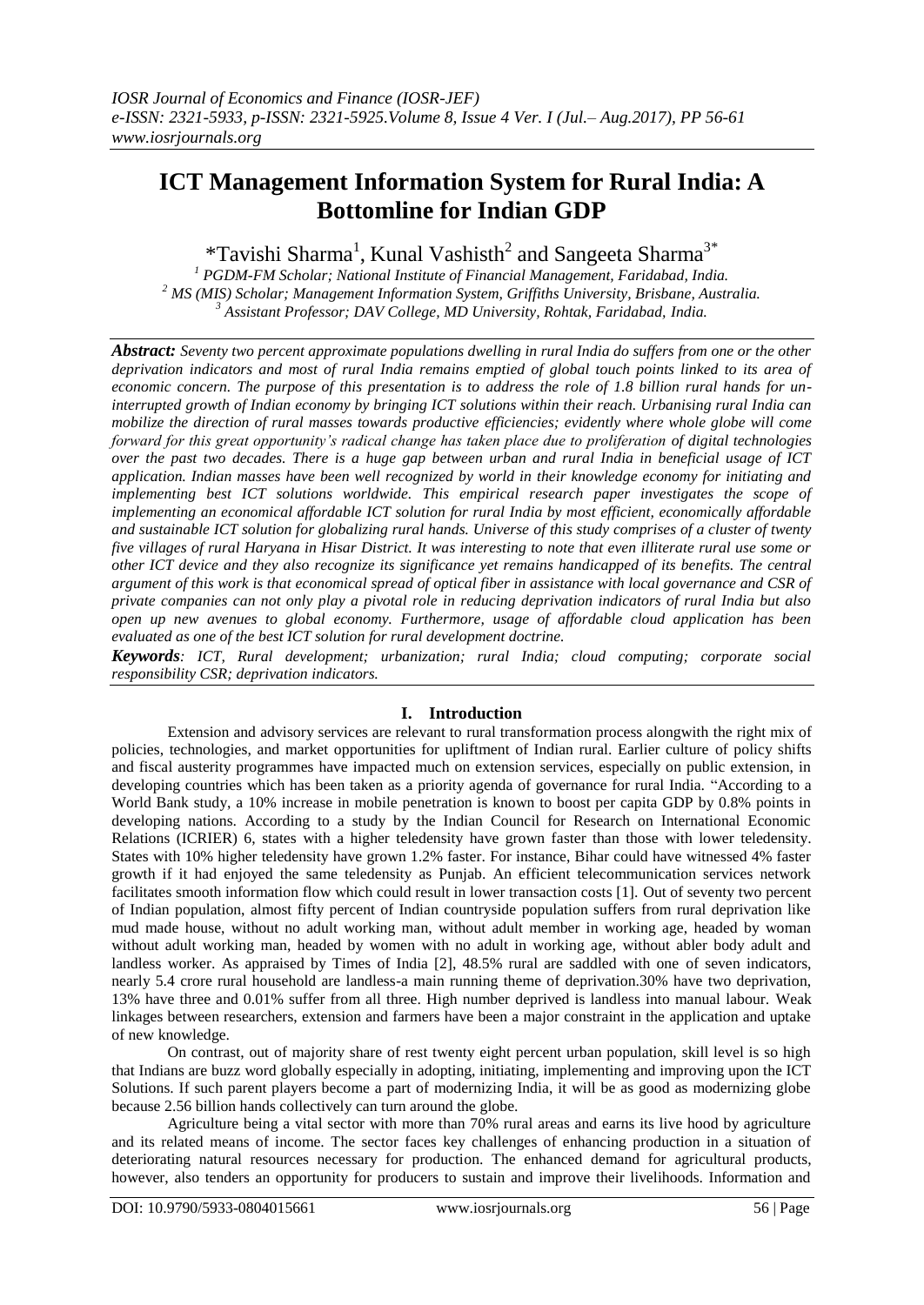# **ICT Management Information System for Rural India: A Bottomline for Indian GDP**

\*Tavishi Sharma<sup>1</sup>, Kunal Vashisth<sup>2</sup> and Sangeeta Sharma<sup>3\*</sup>

*<sup>1</sup> PGDM-FM Scholar; National Institute of Financial Management, Faridabad, India. <sup>2</sup> MS (MIS) Scholar; Management Information System, Griffiths University, Brisbane, Australia. <sup>3</sup> Assistant Professor; DAV College, MD University, Rohtak, Faridabad, India.*

*Abstract: Seventy two percent approximate populations dwelling in rural India do suffers from one or the other deprivation indicators and most of rural India remains emptied of global touch points linked to its area of economic concern. The purpose of this presentation is to address the role of 1.8 billion rural hands for uninterrupted growth of Indian economy by bringing ICT solutions within their reach. Urbanising rural India can mobilize the direction of rural masses towards productive efficiencies; evidently where whole globe will come forward for this great opportunity's radical change has taken place due to proliferation of digital technologies over the past two decades. There is a huge gap between urban and rural India in beneficial usage of ICT application. Indian masses have been well recognized by world in their knowledge economy for initiating and implementing best ICT solutions worldwide. This empirical research paper investigates the scope of implementing an economical affordable ICT solution for rural India by most efficient, economically affordable and sustainable ICT solution for globalizing rural hands. Universe of this study comprises of a cluster of twenty five villages of rural Haryana in Hisar District. It was interesting to note that even illiterate rural use some or other ICT device and they also recognize its significance yet remains handicapped of its benefits. The central argument of this work is that economical spread of optical fiber in assistance with local governance and CSR of private companies can not only play a pivotal role in reducing deprivation indicators of rural India but also open up new avenues to global economy. Furthermore, usage of affordable cloud application has been evaluated as one of the best ICT solution for rural development doctrine.* 

*Keywords: ICT, Rural development; urbanization; rural India; cloud computing; corporate social responsibility CSR; deprivation indicators.*

# **I. Introduction**

Extension and advisory services are relevant to rural transformation process alongwith the right mix of policies, technologies, and market opportunities for upliftment of Indian rural. Earlier culture of policy shifts and fiscal austerity programmes have impacted much on extension services, especially on public extension, in developing countries which has been taken as a priority agenda of governance for rural India. "According to a World Bank study, a 10% increase in mobile penetration is known to boost per capita GDP by 0.8% points in developing nations. According to a study by the Indian Council for Research on International Economic Relations (ICRIER) 6, states with a higher teledensity have grown faster than those with lower teledensity. States with 10% higher teledensity have grown 1.2% faster. For instance, Bihar could have witnessed 4% faster growth if it had enjoyed the same teledensity as Punjab. An efficient telecommunication services network facilitates smooth information flow which could result in lower transaction costs [1]. Out of seventy two percent of Indian population, almost fifty percent of Indian countryside population suffers from rural deprivation like mud made house, without no adult working man, without adult member in working age, headed by woman without adult working man, headed by women with no adult in working age, without abler body adult and landless worker. As appraised by Times of India [2], 48.5% rural are saddled with one of seven indicators, nearly 5.4 crore rural household are landless-a main running theme of deprivation.30% have two deprivation, 13% have three and 0.01% suffer from all three. High number deprived is landless into manual labour. Weak linkages between researchers, extension and farmers have been a major constraint in the application and uptake of new knowledge.

On contrast, out of majority share of rest twenty eight percent urban population, skill level is so high that Indians are buzz word globally especially in adopting, initiating, implementing and improving upon the ICT Solutions. If such parent players become a part of modernizing India, it will be as good as modernizing globe because 2.56 billion hands collectively can turn around the globe.

Agriculture being a vital sector with more than 70% rural areas and earns its live hood by agriculture and its related means of income. The sector faces key challenges of enhancing production in a situation of deteriorating natural resources necessary for production. The enhanced demand for agricultural products, however, also tenders an opportunity for producers to sustain and improve their livelihoods. Information and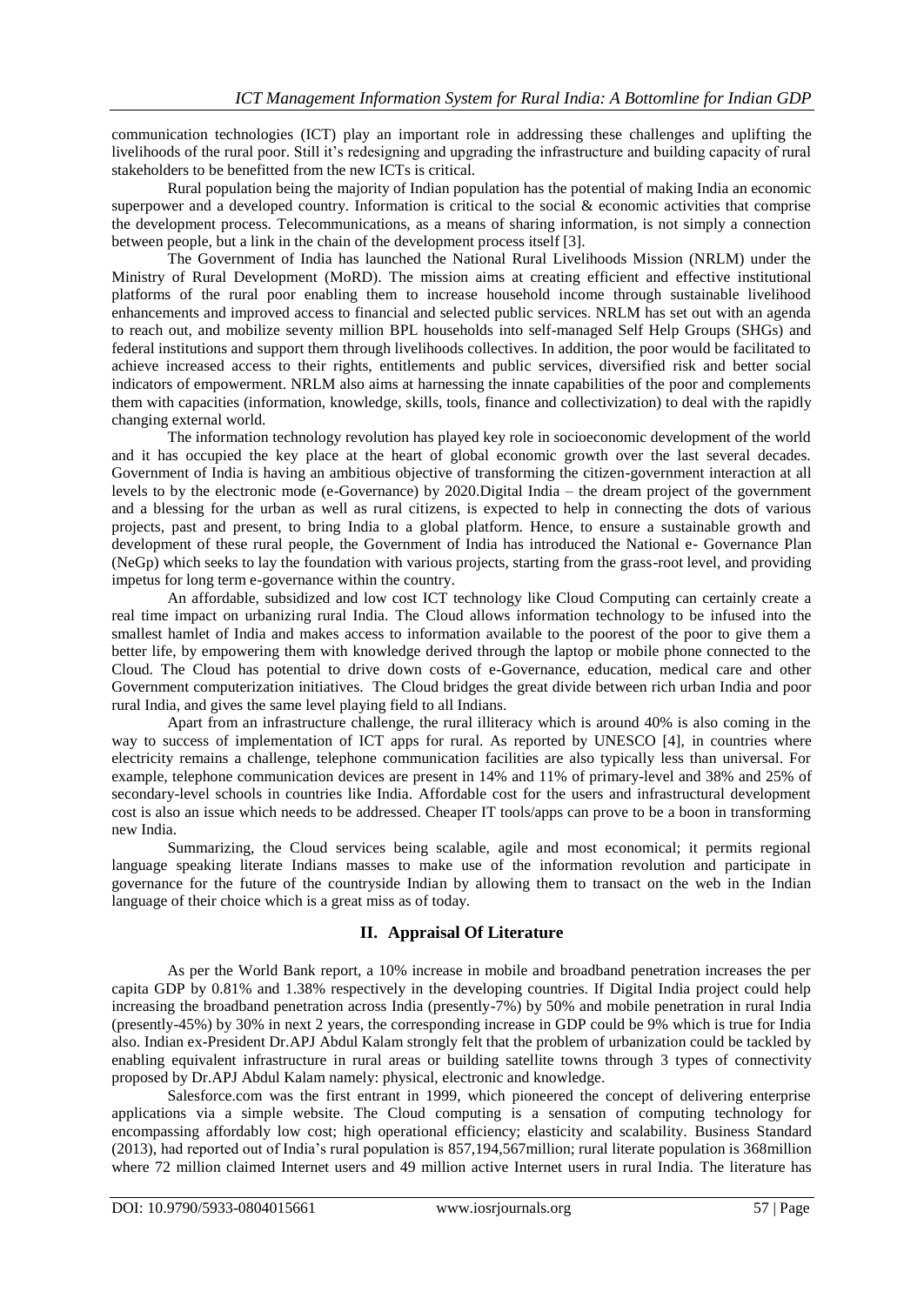communication technologies (ICT) play an important role in addressing these challenges and uplifting the livelihoods of the rural poor. Still it's redesigning and upgrading the infrastructure and building capacity of rural stakeholders to be benefitted from the new ICTs is critical.

Rural population being the majority of Indian population has the potential of making India an economic superpower and a developed country. Information is critical to the social & economic activities that comprise the development process. Telecommunications, as a means of sharing information, is not simply a connection between people, but a link in the chain of the development process itself [3].

The Government of India has launched the National Rural Livelihoods Mission (NRLM) under the Ministry of Rural Development (MoRD). The mission aims at creating efficient and effective institutional platforms of the rural poor enabling them to increase household income through sustainable livelihood enhancements and improved access to financial and selected public services. NRLM has set out with an agenda to reach out, and mobilize seventy million BPL households into self-managed Self Help Groups (SHGs) and federal institutions and support them through livelihoods collectives. In addition, the poor would be facilitated to achieve increased access to their rights, entitlements and public services, diversified risk and better social indicators of empowerment. NRLM also aims at harnessing the innate capabilities of the poor and complements them with capacities (information, knowledge, skills, tools, finance and collectivization) to deal with the rapidly changing external world.

The information technology revolution has played key role in socioeconomic development of the world and it has occupied the key place at the heart of global economic growth over the last several decades. Government of India is having an ambitious objective of transforming the citizen-government interaction at all levels to by the electronic mode (e-Governance) by 2020.Digital India – the dream project of the government and a blessing for the urban as well as rural citizens, is expected to help in connecting the dots of various projects, past and present, to bring India to a global platform. Hence, to ensure a sustainable growth and development of these rural people, the Government of India has introduced the National e- Governance Plan (NeGp) which seeks to lay the foundation with various projects, starting from the grass-root level, and providing impetus for long term e-governance within the country.

An affordable, subsidized and low cost ICT technology like Cloud Computing can certainly create a real time impact on urbanizing rural India. The Cloud allows information technology to be infused into the smallest hamlet of India and makes access to information available to the poorest of the poor to give them a better life, by empowering them with knowledge derived through the laptop or mobile phone connected to the Cloud. The Cloud has potential to drive down costs of e-Governance, education, medical care and other Government computerization initiatives. The Cloud bridges the great divide between rich urban India and poor rural India, and gives the same level playing field to all Indians.

Apart from an infrastructure challenge, the rural illiteracy which is around 40% is also coming in the way to success of implementation of ICT apps for rural. As reported by UNESCO [4], in countries where electricity remains a challenge, telephone communication facilities are also typically less than universal. For example, telephone communication devices are present in 14% and 11% of primary-level and 38% and 25% of secondary-level schools in countries like India. Affordable cost for the users and infrastructural development cost is also an issue which needs to be addressed. Cheaper IT tools/apps can prove to be a boon in transforming new India.

Summarizing, the Cloud services being scalable, agile and most economical; it permits regional language speaking literate Indians masses to make use of the information revolution and participate in governance for the future of the countryside Indian by allowing them to transact on the web in the Indian language of their choice which is a great miss as of today.

# **II. Appraisal Of Literature**

As per the World Bank report, a 10% increase in mobile and broadband penetration increases the per capita GDP by 0.81% and 1.38% respectively in the developing countries. If Digital India project could help increasing the broadband penetration across India (presently-7%) by 50% and mobile penetration in rural India (presently-45%) by 30% in next 2 years, the corresponding increase in GDP could be 9% which is true for India also. Indian ex-President Dr.APJ Abdul Kalam strongly felt that the problem of urbanization could be tackled by enabling equivalent infrastructure in rural areas or building satellite towns through 3 types of connectivity proposed by Dr.APJ Abdul Kalam namely: physical, electronic and knowledge.

Salesforce.com was the first entrant in 1999, which pioneered the concept of delivering enterprise applications via a simple website. The Cloud computing is a sensation of computing technology for encompassing affordably low cost; high operational efficiency; elasticity and scalability. Business Standard (2013), had reported out of India's rural population is 857,194,567million; rural literate population is 368million where 72 million claimed Internet users and 49 million active Internet users in rural India. The literature has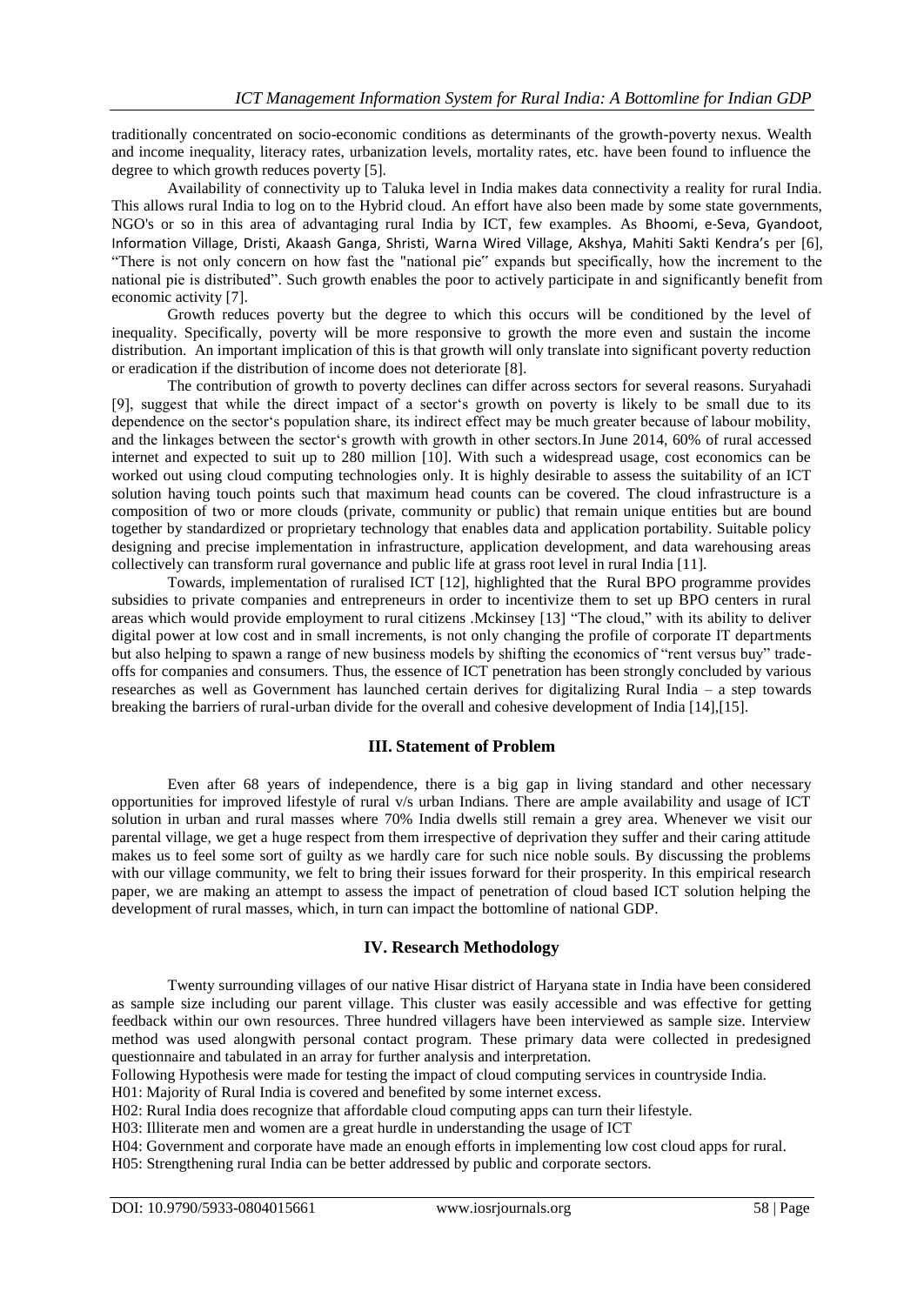traditionally concentrated on socio-economic conditions as determinants of the growth-poverty nexus. Wealth and income inequality, literacy rates, urbanization levels, mortality rates, etc. have been found to influence the degree to which growth reduces poverty [5].

Availability of connectivity up to Taluka level in India makes data connectivity a reality for rural India. This allows rural India to log on to the Hybrid cloud. An effort have also been made by some state governments, NGO's or so in this area of advantaging rural India by ICT, few examples. As Bhoomi, e-Seva, Gyandoot, Information Village, Dristi, Akaash Ganga, Shristi, Warna Wired Village, Akshya, Mahiti Sakti Kendra's per [6], "There is not only concern on how fast the "national pie" expands but specifically, how the increment to the national pie is distributed". Such growth enables the poor to actively participate in and significantly benefit from economic activity [7].

Growth reduces poverty but the degree to which this occurs will be conditioned by the level of inequality. Specifically, poverty will be more responsive to growth the more even and sustain the income distribution. An important implication of this is that growth will only translate into significant poverty reduction or eradication if the distribution of income does not deteriorate [8].

The contribution of growth to poverty declines can differ across sectors for several reasons. Suryahadi [9], suggest that while the direct impact of a sector's growth on poverty is likely to be small due to its dependence on the sector's population share, its indirect effect may be much greater because of labour mobility, and the linkages between the sector's growth with growth in other sectors.In June 2014, 60% of rural accessed internet and expected to suit up to 280 million [10]. With such a widespread usage, cost economics can be worked out using cloud computing technologies only. It is highly desirable to assess the suitability of an ICT solution having touch points such that maximum head counts can be covered. The cloud infrastructure is a composition of two or more clouds (private, community or public) that remain unique entities but are bound together by standardized or proprietary technology that enables data and application portability. Suitable policy designing and precise implementation in infrastructure, application development, and data warehousing areas collectively can transform rural governance and public life at grass root level in rural India [11].

Towards, implementation of ruralised ICT [12], highlighted that the Rural BPO programme provides subsidies to private companies and entrepreneurs in order to incentivize them to set up BPO centers in rural areas which would provide employment to rural citizens .Mckinsey [13] "The cloud," with its ability to deliver digital power at low cost and in small increments, is not only changing the profile of corporate IT departments but also helping to spawn a range of new business models by shifting the economics of "rent versus buy" tradeoffs for companies and consumers. Thus, the essence of ICT penetration has been strongly concluded by various researches as well as Government has launched certain derives for digitalizing Rural India – a step towards breaking the barriers of rural-urban divide for the overall and cohesive development of India [14],[15].

# **III. Statement of Problem**

Even after 68 years of independence, there is a big gap in living standard and other necessary opportunities for improved lifestyle of rural v/s urban Indians. There are ample availability and usage of ICT solution in urban and rural masses where 70% India dwells still remain a grey area. Whenever we visit our parental village, we get a huge respect from them irrespective of deprivation they suffer and their caring attitude makes us to feel some sort of guilty as we hardly care for such nice noble souls. By discussing the problems with our village community, we felt to bring their issues forward for their prosperity. In this empirical research paper, we are making an attempt to assess the impact of penetration of cloud based ICT solution helping the development of rural masses, which, in turn can impact the bottomline of national GDP.

# **IV. Research Methodology**

Twenty surrounding villages of our native Hisar district of Haryana state in India have been considered as sample size including our parent village. This cluster was easily accessible and was effective for getting feedback within our own resources. Three hundred villagers have been interviewed as sample size. Interview method was used alongwith personal contact program. These primary data were collected in predesigned questionnaire and tabulated in an array for further analysis and interpretation.

Following Hypothesis were made for testing the impact of cloud computing services in countryside India.

H01: Majority of Rural India is covered and benefited by some internet excess.

H02: Rural India does recognize that affordable cloud computing apps can turn their lifestyle.

H03: Illiterate men and women are a great hurdle in understanding the usage of ICT

H04: Government and corporate have made an enough efforts in implementing low cost cloud apps for rural.

H05: Strengthening rural India can be better addressed by public and corporate sectors.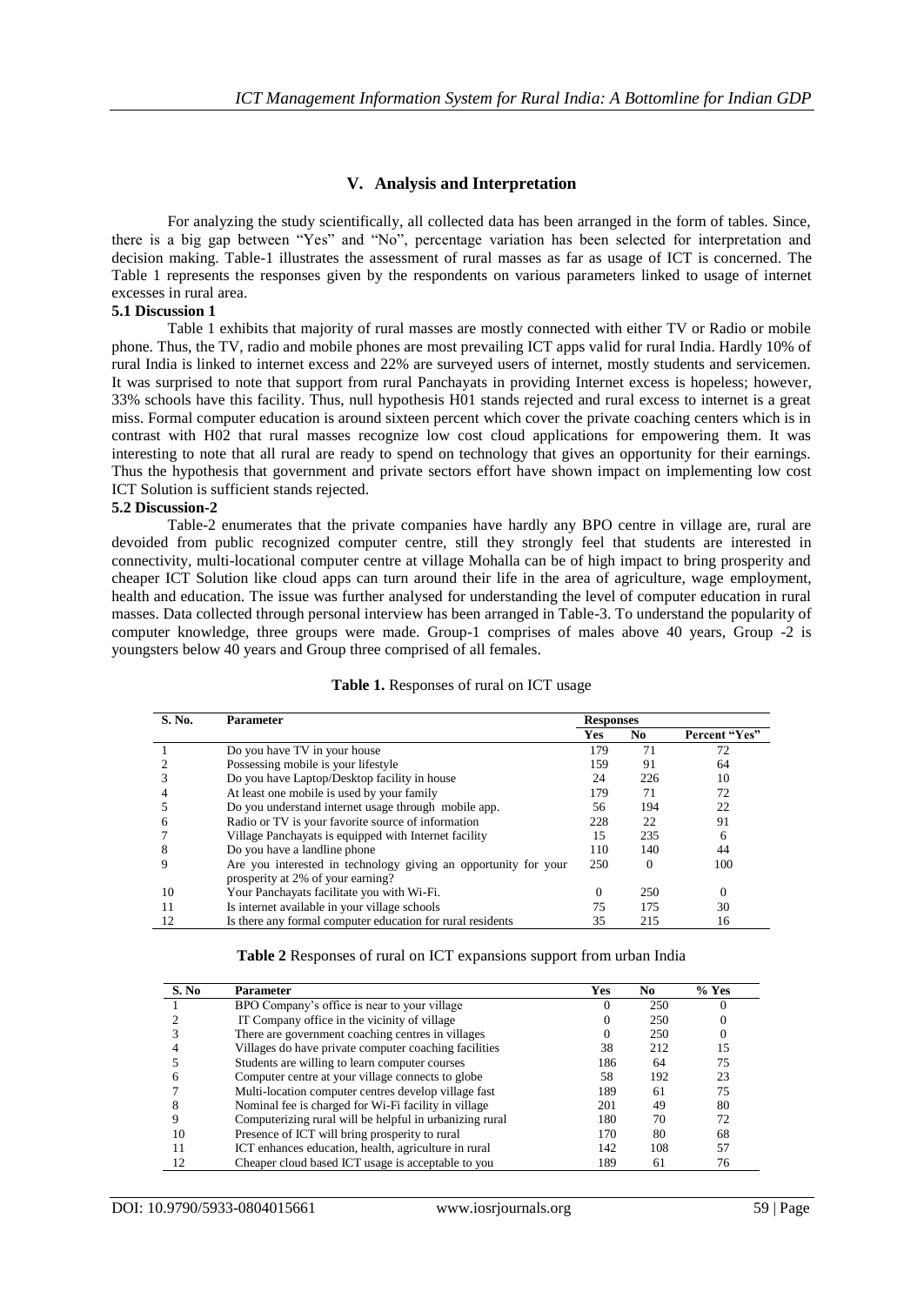# **V. Analysis and Interpretation**

For analyzing the study scientifically, all collected data has been arranged in the form of tables. Since, there is a big gap between "Yes" and "No", percentage variation has been selected for interpretation and decision making. Table-1 illustrates the assessment of rural masses as far as usage of ICT is concerned. The Table 1 represents the responses given by the respondents on various parameters linked to usage of internet excesses in rural area.

## **5.1 Discussion 1**

Table 1 exhibits that majority of rural masses are mostly connected with either TV or Radio or mobile phone. Thus, the TV, radio and mobile phones are most prevailing ICT apps valid for rural India. Hardly 10% of rural India is linked to internet excess and 22% are surveyed users of internet, mostly students and servicemen. It was surprised to note that support from rural Panchayats in providing Internet excess is hopeless; however, 33% schools have this facility. Thus, null hypothesis H01 stands rejected and rural excess to internet is a great miss. Formal computer education is around sixteen percent which cover the private coaching centers which is in contrast with H02 that rural masses recognize low cost cloud applications for empowering them. It was interesting to note that all rural are ready to spend on technology that gives an opportunity for their earnings. Thus the hypothesis that government and private sectors effort have shown impact on implementing low cost ICT Solution is sufficient stands rejected.

#### **5.2 Discussion-2**

Table-2 enumerates that the private companies have hardly any BPO centre in village are, rural are devoided from public recognized computer centre, still they strongly feel that students are interested in connectivity, multi-locational computer centre at village Mohalla can be of high impact to bring prosperity and cheaper ICT Solution like cloud apps can turn around their life in the area of agriculture, wage employment, health and education. The issue was further analysed for understanding the level of computer education in rural masses. Data collected through personal interview has been arranged in Table-3. To understand the popularity of computer knowledge, three groups were made. Group-1 comprises of males above 40 years, Group -2 is youngsters below 40 years and Group three comprised of all females.

| S. No. | <b>Parameter</b>                                                | <b>Responses</b> |          |               |
|--------|-----------------------------------------------------------------|------------------|----------|---------------|
|        |                                                                 | Yes              | No       | Percent "Yes" |
|        | Do you have TV in your house                                    | 179              | 71       | 72            |
|        | Possessing mobile is your lifestyle                             | 159              | 91       | 64            |
|        | Do you have Laptop/Desktop facility in house                    | 24               | 226      | 10            |
|        | At least one mobile is used by your family                      | 179              | 71       | 72            |
|        | Do you understand internet usage through mobile app.            | 56               | 194      | 22            |
| h      | Radio or TV is your favorite source of information              | 228              | 22       | 91            |
|        | Village Panchayats is equipped with Internet facility           | 15               | 235      | 6             |
| 8      | Do you have a landline phone                                    | 110              | 140      | 44            |
|        | Are you interested in technology giving an opportunity for your | 250              | $\Omega$ | 100           |
|        | prosperity at 2% of your earning?                               |                  |          |               |
| 10     | Your Panchayats facilitate you with Wi-Fi.                      | $\Omega$         | 250      | $\Omega$      |
|        | Is internet available in your village schools                   | 75               | 175      | 30            |
| 12     | Is there any formal computer education for rural residents      | 35               | 215      | 16            |

#### **Table 1.** Responses of rural on ICT usage

|  |  | Table 2 Responses of rural on ICT expansions support from urban India |  |  |
|--|--|-----------------------------------------------------------------------|--|--|
|  |  |                                                                       |  |  |

| S. No | <b>Parameter</b>                                        | Yes | No. | $%$ Yes |
|-------|---------------------------------------------------------|-----|-----|---------|
|       | BPO Company's office is near to your village            |     | 250 |         |
|       | IT Company office in the vicinity of village            |     | 250 |         |
|       | There are government coaching centres in villages       |     | 250 |         |
|       | Villages do have private computer coaching facilities   | 38  | 212 | 15      |
|       | Students are willing to learn computer courses          | 186 | 64  | 75      |
|       | Computer centre at your village connects to globe       | 58  | 192 | 23      |
|       | Multi-location computer centres develop village fast    | 189 | 61  | 75      |
|       | Nominal fee is charged for Wi-Fi facility in village    | 201 | 49  | 80      |
|       | Computerizing rural will be helpful in urbanizing rural | 180 | 70  | 72      |
| 10    | Presence of ICT will bring prosperity to rural          | 170 | 80  | 68      |
|       | ICT enhances education, health, agriculture in rural    | 142 | 108 | 57      |
| 12    | Cheaper cloud based ICT usage is acceptable to you      | 189 | 61  | 76      |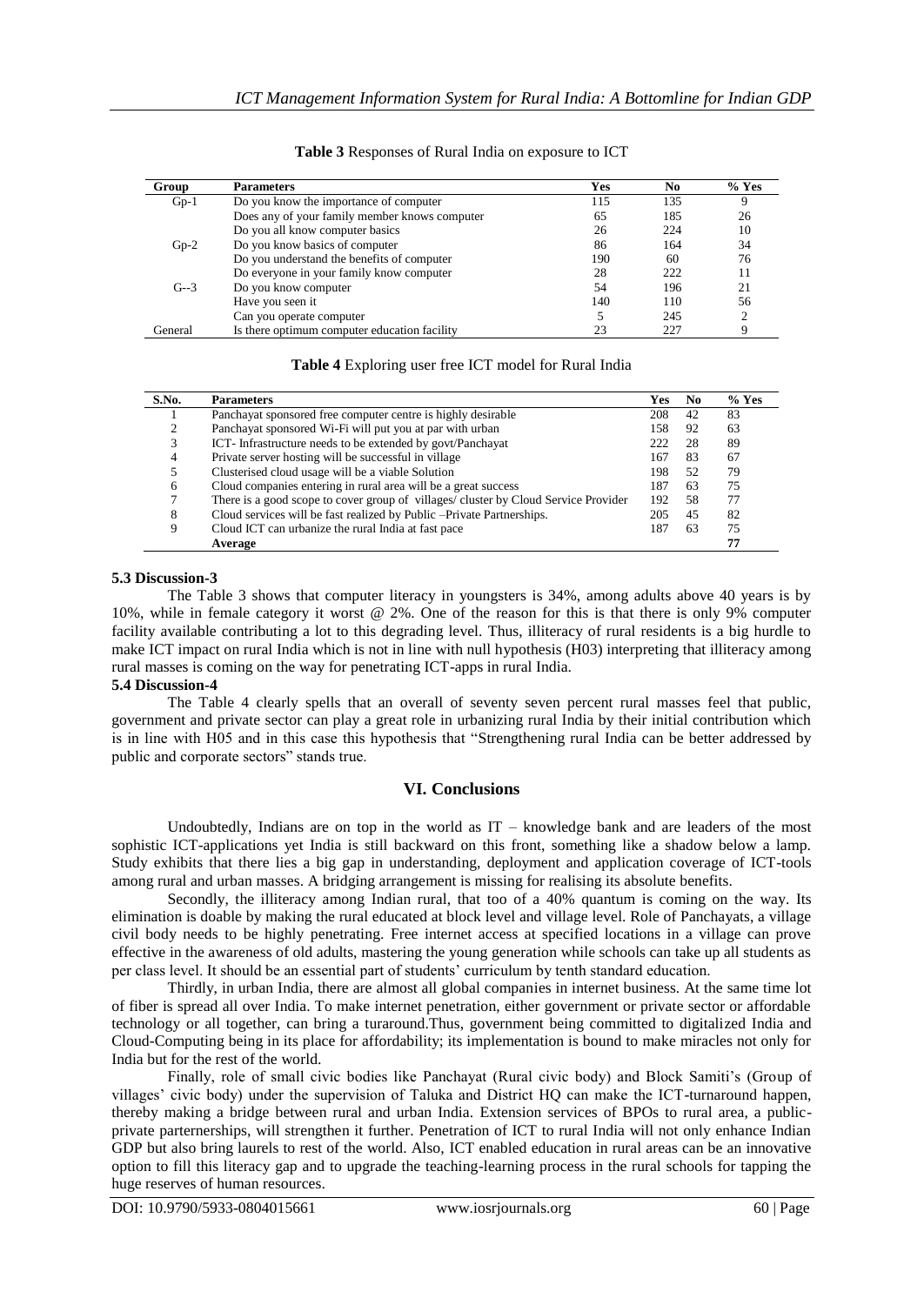| Group   | <b>Parameters</b>                             | Yes | No  | $%$ Yes |
|---------|-----------------------------------------------|-----|-----|---------|
| $Gp-1$  | Do you know the importance of computer        | 115 | 135 |         |
|         | Does any of your family member knows computer | 65  | 185 | 26      |
|         | Do you all know computer basics               | 26  | 224 | 10      |
| $Gp-2$  | Do you know basics of computer                | 86  | 164 | 34      |
|         | Do you understand the benefits of computer    | 190 | 60  | 76      |
|         | Do everyone in your family know computer      | 28  | 222 | 11      |
| $G - 3$ | Do you know computer                          | 54  | 196 | 21      |
|         | Have you seen it                              | 140 | 110 | 56      |
|         | Can you operate computer                      |     | 245 | ↑       |
| General | Is there optimum computer education facility  |     | 227 |         |

**Table 3** Responses of Rural India on exposure to ICT

## **Table 4** Exploring user free ICT model for Rural India

| S.No. | <b>Parameters</b>                                                                   | Yes  | No. | $%$ Yes |
|-------|-------------------------------------------------------------------------------------|------|-----|---------|
|       | Panchayat sponsored free computer centre is highly desirable                        | 208  | 42  | 83      |
|       | Panchayat sponsored Wi-Fi will put you at par with urban                            | 158  | 92  | 63      |
|       | ICT-Infrastructure needs to be extended by govt/Panchayat                           | 222. | 28  | 89      |
| 4     | Private server hosting will be successful in village                                | 167  | 83  | 67      |
|       | Clusterised cloud usage will be a viable Solution                                   | 198  | 52  | 79      |
| 6     | Cloud companies entering in rural area will be a great success                      | 187  | 63  | 75      |
|       | There is a good scope to cover group of villages/ cluster by Cloud Service Provider | 192  | 58  | 77      |
| 8     | Cloud services will be fast realized by Public - Private Partnerships.              | 205  | 45  | 82      |
|       | Cloud ICT can urbanize the rural India at fast pace                                 | 187  | 63  | 75      |
|       | Average                                                                             |      |     | 77      |

## **5.3 Discussion-3**

The Table 3 shows that computer literacy in youngsters is 34%, among adults above 40 years is by 10%, while in female category it worst @ 2%. One of the reason for this is that there is only 9% computer facility available contributing a lot to this degrading level. Thus, illiteracy of rural residents is a big hurdle to make ICT impact on rural India which is not in line with null hypothesis (H03) interpreting that illiteracy among rural masses is coming on the way for penetrating ICT-apps in rural India.

## **5.4 Discussion-4**

The Table 4 clearly spells that an overall of seventy seven percent rural masses feel that public, government and private sector can play a great role in urbanizing rural India by their initial contribution which is in line with H05 and in this case this hypothesis that "Strengthening rural India can be better addressed by public and corporate sectors" stands true.

# **VI. Conclusions**

Undoubtedly, Indians are on top in the world as  $IT -$  knowledge bank and are leaders of the most sophistic ICT-applications yet India is still backward on this front, something like a shadow below a lamp. Study exhibits that there lies a big gap in understanding, deployment and application coverage of ICT-tools among rural and urban masses. A bridging arrangement is missing for realising its absolute benefits.

Secondly, the illiteracy among Indian rural, that too of a 40% quantum is coming on the way. Its elimination is doable by making the rural educated at block level and village level. Role of Panchayats, a village civil body needs to be highly penetrating. Free internet access at specified locations in a village can prove effective in the awareness of old adults, mastering the young generation while schools can take up all students as per class level. It should be an essential part of students' curriculum by tenth standard education.

Thirdly, in urban India, there are almost all global companies in internet business. At the same time lot of fiber is spread all over India. To make internet penetration, either government or private sector or affordable technology or all together, can bring a turaround.Thus, government being committed to digitalized India and Cloud-Computing being in its place for affordability; its implementation is bound to make miracles not only for India but for the rest of the world.

Finally, role of small civic bodies like Panchayat (Rural civic body) and Block Samiti's (Group of villages' civic body) under the supervision of Taluka and District HQ can make the ICT-turnaround happen, thereby making a bridge between rural and urban India. Extension services of BPOs to rural area, a publicprivate parternerships, will strengthen it further. Penetration of ICT to rural India will not only enhance Indian GDP but also bring laurels to rest of the world. Also, ICT enabled education in rural areas can be an innovative option to fill this literacy gap and to upgrade the teaching-learning process in the rural schools for tapping the huge reserves of human resources.